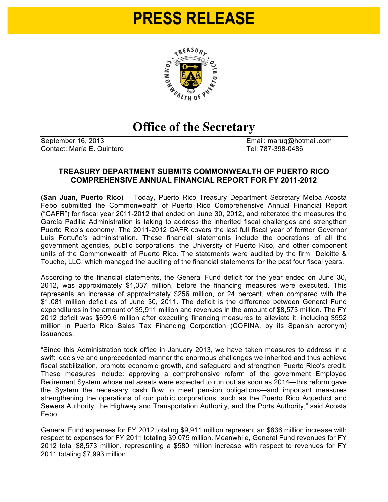## **PRESS RELEASE**



## **Office of the Secretary**

Contact: María E. Quintero **Tel: 787-398-0486** 

September 16, 2013 **Email: maruq@hotmail.com** 

## **TREASURY DEPARTMENT SUBMITS COMMONWEALTH OF PUERTO RICO COMPREHENSIVE ANNUAL FINANCIAL REPORT FOR FY 2011-2012**

**(San Juan, Puerto Rico)** – Today, Puerto Rico Treasury Department Secretary Melba Acosta Febo submitted the Commonwealth of Puerto Rico Comprehensive Annual Financial Report ("CAFR") for fiscal year 2011-2012 that ended on June 30, 2012, and reiterated the measures the García Padilla Administration is taking to address the inherited fiscal challenges and strengthen Puerto Rico's economy. The 2011-2012 CAFR covers the last full fiscal year of former Governor Luis Fortuño's administration. These financial statements include the operations of all the government agencies, public corporations, the University of Puerto Rico, and other component units of the Commonwealth of Puerto Rico. The statements were audited by the firm Deloitte & Touche, LLC, which managed the auditing of the financial statements for the past four fiscal years.

According to the financial statements, the General Fund deficit for the year ended on June 30, 2012, was approximately \$1,337 million, before the financing measures were executed. This represents an increase of approximately \$256 million, or 24 percent, when compared with the \$1,081 million deficit as of June 30, 2011. The deficit is the difference between General Fund expenditures in the amount of \$9,911 million and revenues in the amount of \$8,573 million. The FY 2012 deficit was \$699.6 million after executing financing measures to alleviate it, including \$952 million in Puerto Rico Sales Tax Financing Corporation (COFINA, by its Spanish acronym) issuances.

"Since this Administration took office in January 2013, we have taken measures to address in a swift, decisive and unprecedented manner the enormous challenges we inherited and thus achieve fiscal stabilization, promote economic growth, and safeguard and strengthen Puerto Rico's credit. These measures include: approving a comprehensive reform of the government Employee Retirement System whose net assets were expected to run out as soon as 2014—this reform gave the System the necessary cash flow to meet pension obligations—and important measures strengthening the operations of our public corporations, such as the Puerto Rico Aqueduct and Sewers Authority, the Highway and Transportation Authority, and the Ports Authority," said Acosta Febo.

General Fund expenses for FY 2012 totaling \$9,911 million represent an \$836 million increase with respect to expenses for FY 2011 totaling \$9,075 million. Meanwhile, General Fund revenues for FY 2012 total \$8,573 million, representing a \$580 million increase with respect to revenues for FY 2011 totaling \$7,993 million.